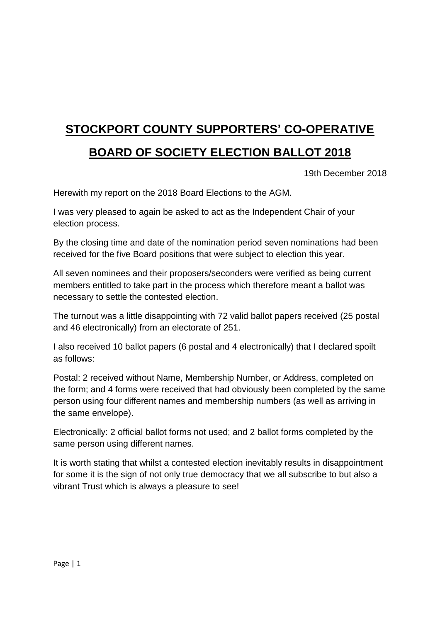## **STOCKPORT COUNTY SUPPORTERS' CO-OPERATIVE**

## **BOARD OF SOCIETY ELECTION BALLOT 2018**

19th December 2018

Herewith my report on the 2018 Board Elections to the AGM.

I was very pleased to again be asked to act as the Independent Chair of your election process.

By the closing time and date of the nomination period seven nominations had been received for the five Board positions that were subject to election this year.

All seven nominees and their proposers/seconders were verified as being current members entitled to take part in the process which therefore meant a ballot was necessary to settle the contested election.

The turnout was a little disappointing with 72 valid ballot papers received (25 postal and 46 electronically) from an electorate of 251.

I also received 10 ballot papers (6 postal and 4 electronically) that I declared spoilt as follows:

Postal: 2 received without Name, Membership Number, or Address, completed on the form; and 4 forms were received that had obviously been completed by the same person using four different names and membership numbers (as well as arriving in the same envelope).

Electronically: 2 official ballot forms not used; and 2 ballot forms completed by the same person using different names.

It is worth stating that whilst a contested election inevitably results in disappointment for some it is the sign of not only true democracy that we all subscribe to but also a vibrant Trust which is always a pleasure to see!